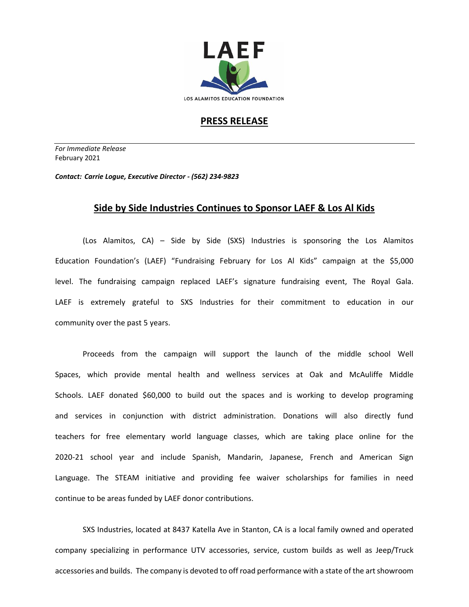

## **PRESS RELEASE**

*For Immediate Release*  February 2021

*Contact: Carrie Logue, Executive Director - (562) 234-9823*

## **Side by Side Industries Continues to Sponsor LAEF & Los Al Kids**

(Los Alamitos, CA) – Side by Side (SXS) Industries is sponsoring the Los Alamitos Education Foundation's (LAEF) "Fundraising February for Los Al Kids" campaign at the \$5,000 level. The fundraising campaign replaced LAEF's signature fundraising event, The Royal Gala. LAEF is extremely grateful to SXS Industries for their commitment to education in our community over the past 5 years.

Proceeds from the campaign will support the launch of the middle school Well Spaces, which provide mental health and wellness services at Oak and McAuliffe Middle Schools. LAEF donated \$60,000 to build out the spaces and is working to develop programing and services in conjunction with district administration. Donations will also directly fund teachers for free elementary world language classes, which are taking place online for the 2020-21 school year and include Spanish, Mandarin, Japanese, French and American Sign Language. The STEAM initiative and providing fee waiver scholarships for families in need continue to be areas funded by LAEF donor contributions.

SXS Industries, located at 8437 Katella Ave in Stanton, CA is a local family owned and operated company specializing in performance UTV accessories, service, custom builds as well as Jeep/Truck accessories and builds. The company is devoted to off road performance with a state of the art showroom